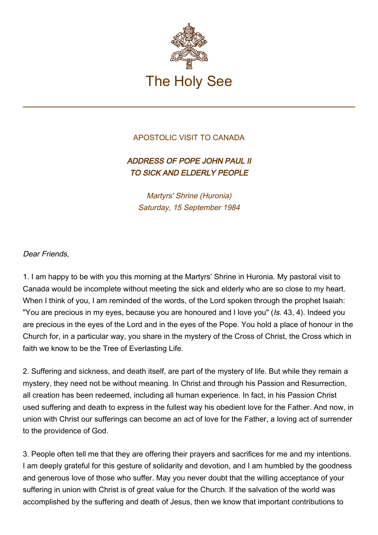

## APOSTOLIC VISIT TO CANADA

## ADDRESS OF POPE JOHN PAUL II TO SICK AND ELDERLY PEOPLE

Martyrs' Shrine (Huronia) Saturday, 15 September 1984

## Dear Friends,

1. I am happy to be with you this morning at the Martyrs' Shrine in Huronia. My pastoral visit to Canada would be incomplete without meeting the sick and elderly who are so close to my heart. When I think of you, I am reminded of the words, of the Lord spoken through the prophet Isaiah: "You are precious in my eyes, because you are honoured and I love you" (Is. 43, 4). Indeed you are precious in the eyes of the Lord and in the eyes of the Pope. You hold a place of honour in the Church for, in a particular way, you share in the mystery of the Cross of Christ, the Cross which in faith we know to be the Tree of Everlasting Life.

2. Suffering and sickness, and death itself, are part of the mystery of life. But while they remain a mystery, they need not be without meaning. In Christ and through his Passion and Resurrection, all creation has been redeemed, including all human experience. In fact, in his Passion Christ used suffering and death to express in the fullest way his obedient love for the Father. And now, in union with Christ our sufferings can become an act of love for the Father, a loving act of surrender to the providence of God.

3. People often tell me that they are offering their prayers and sacrifices for me and my intentions. I am deeply grateful for this gesture of solidarity and devotion, and I am humbled by the goodness and generous love of those who suffer. May you never doubt that the willing acceptance of your suffering in union with Christ is of great value for the Church. If the salvation of the world was accomplished by the suffering and death of Jesus, then we know that important contributions to